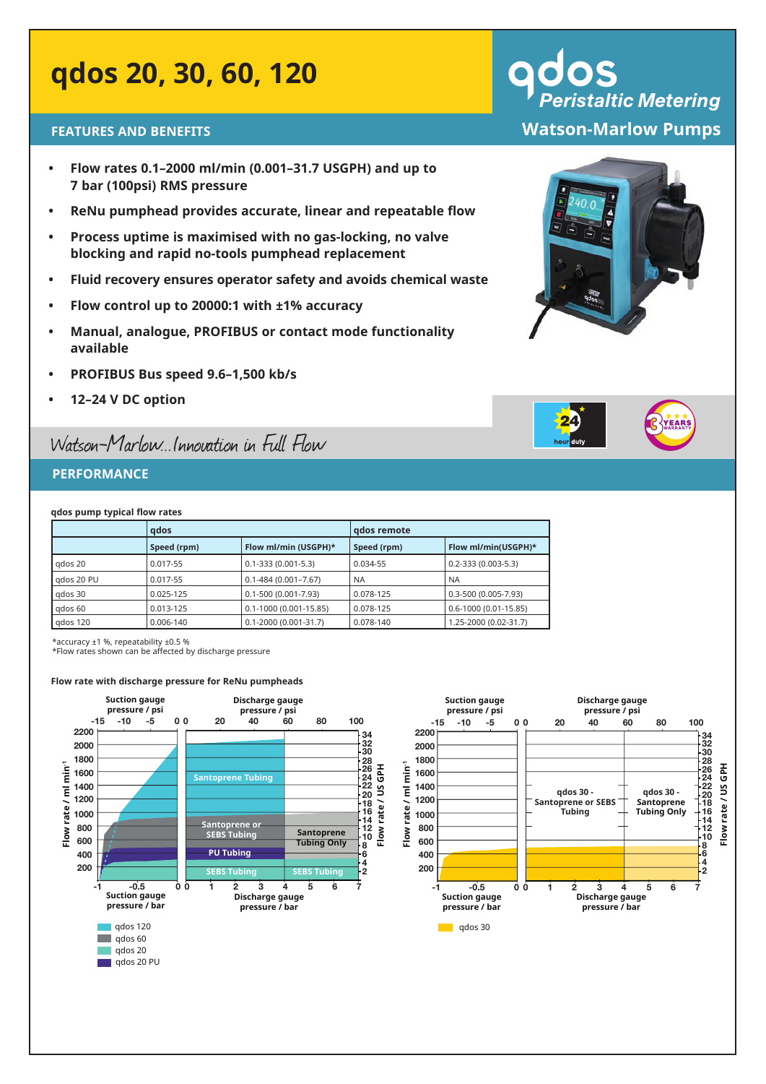## **qdos 20, 30, 60, 120**

- **• Flow rates 0.1–2000 ml/min (0.001–31.7 USGPH) and up to 7 bar (100psi) RMS pressure**
- **• ReNu pumphead provides accurate, linear and repeatable flow**
- **• Process uptime is maximised with no gas-locking, no valve blocking and rapid no-tools pumphead replacement**
- **• Fluid recovery ensures operator safety and avoids chemical waste**
- **• Flow control up to 20000:1 with ±1% accuracy**
- **• Manual, analogue, PROFIBUS or contact mode functionality available**
- **• PROFIBUS Bus speed 9.6–1,500 kb/s**
- **• 12–24 V DC option**

### Watson-Marlow...Innovation in Full Flow

#### **PERFORMANCE**

**qdos pump typical flow rates**

|            | gdos                                |                             | gdos remote |                            |
|------------|-------------------------------------|-----------------------------|-------------|----------------------------|
|            | Flow ml/min (USGPH)*<br>Speed (rpm) |                             | Speed (rpm) | Flow ml/min(USGPH)*        |
| gdos 20    | 0.017-55                            | $0.1 - 333(0.001 - 5.3)$    | 0.034-55    | $0.2 - 333(0.003 - 5.3)$   |
| gdos 20 PU | 0.017-55                            | $0.1 - 484(0.001 - 7.67)$   | <b>NA</b>   | <b>NA</b>                  |
| qdos 30    | $0.025 - 125$                       | $0.1 - 500(0.001 - 7.93)$   | 0.078-125   | 0.3-500 (0.005-7.93)       |
| qdos 60    | 0.013-125                           | $0.1 - 1000(0.001 - 15.85)$ | 0.078-125   | $0.6 - 1000(0.01 - 15.85)$ |
| qdos 120   | 0.006-140                           | $0.1 - 2000(0.001 - 31.7)$  | 0.078-140   | 1.25-2000 (0.02-31.7)      |

\*accuracy ±1 %, repeatability ±0.5 %

\*Flow rates shown can be affected by discharge pressure

#### **Flow rate with discharge pressure for ReNu pumpheads**



# **Peristaltic Metering FEATURES AND BENEFITS Watson-Marlow Pumps**



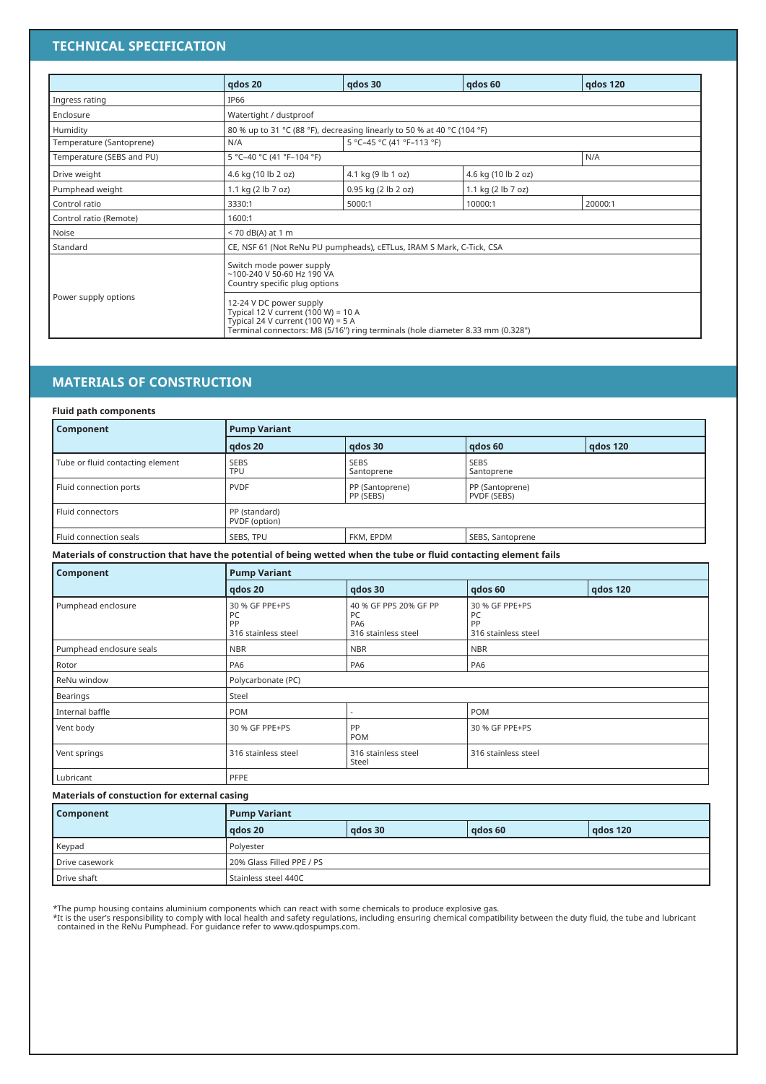#### **TECHNICAL SPECIFICATION**

|                           | qdos 20                | qdos 30                                                                                                                                                                                                                                                                               | qdos 60             | gdos 120 |  |  |  |  |
|---------------------------|------------------------|---------------------------------------------------------------------------------------------------------------------------------------------------------------------------------------------------------------------------------------------------------------------------------------|---------------------|----------|--|--|--|--|
| Ingress rating            | IP66                   |                                                                                                                                                                                                                                                                                       |                     |          |  |  |  |  |
| Enclosure                 | Watertight / dustproof |                                                                                                                                                                                                                                                                                       |                     |          |  |  |  |  |
| Humidity                  |                        | 80 % up to 31 °C (88 °F), decreasing linearly to 50 % at 40 °C (104 °F)                                                                                                                                                                                                               |                     |          |  |  |  |  |
| Temperature (Santoprene)  | N/A                    | 5 °C-45 °C (41 °F-113 °F)                                                                                                                                                                                                                                                             |                     |          |  |  |  |  |
| Temperature (SEBS and PU) |                        | 5 °C-40 °C (41 °F-104 °F)<br>N/A                                                                                                                                                                                                                                                      |                     |          |  |  |  |  |
| Drive weight              | 4.6 kg (10 lb 2 oz)    | 4.1 kg (9 lb 1 oz)                                                                                                                                                                                                                                                                    | 4.6 kg (10 lb 2 oz) |          |  |  |  |  |
| Pumphead weight           | 1.1 kg (2 lb 7 oz)     | 0.95 kg (2 lb 2 oz)                                                                                                                                                                                                                                                                   | 1.1 kg (2 lb 7 oz)  |          |  |  |  |  |
| Control ratio             | 3330:1                 | 5000:1                                                                                                                                                                                                                                                                                | 10000:1             | 20000:1  |  |  |  |  |
| Control ratio (Remote)    | 1600:1                 |                                                                                                                                                                                                                                                                                       |                     |          |  |  |  |  |
| Noise                     | $<$ 70 dB(A) at 1 m    |                                                                                                                                                                                                                                                                                       |                     |          |  |  |  |  |
| Standard                  |                        | CE, NSF 61 (Not ReNu PU pumpheads), cETLus, IRAM S Mark, C-Tick, CSA                                                                                                                                                                                                                  |                     |          |  |  |  |  |
| Power supply options      |                        | Switch mode power supply<br>$~100-240$ V 50-60 Hz 190 VA<br>Country specific plug options<br>12-24 V DC power supply<br>Typical 12 V current (100 W) = 10 A<br>Typical 24 V current (100 W) = $5$ A<br>Terminal connectors: M8 (5/16") ring terminals (hole diameter 8.33 mm (0.328") |                     |          |  |  |  |  |

#### **MATERIALS OF CONSTRUCTION**

|  |  |  | <b>Fluid path components</b> |
|--|--|--|------------------------------|
|--|--|--|------------------------------|

| Component                        | <b>Pump Variant</b>            |                              |                                |                 |  |  |  |
|----------------------------------|--------------------------------|------------------------------|--------------------------------|-----------------|--|--|--|
|                                  | gdos 20                        | qdos 30                      | gdos 60                        | <b>gdos 120</b> |  |  |  |
| Tube or fluid contacting element | <b>SEBS</b><br><b>TPU</b>      | <b>SEBS</b><br>Santoprene    | <b>SEBS</b><br>Santoprene      |                 |  |  |  |
| Fluid connection ports           | <b>PVDF</b>                    | PP (Santoprene)<br>PP (SEBS) | PP (Santoprene)<br>PVDF (SEBS) |                 |  |  |  |
| Fluid connectors                 | PP (standard)<br>PVDF (option) |                              |                                |                 |  |  |  |
| Fluid connection seals           | SEBS, TPU                      | FKM, EPDM                    | SEBS, Santoprene               |                 |  |  |  |

**Materials of construction that have the potential of being wetted when the tube or fluid contacting element fails**

| Component                | <b>Pump Variant</b>                               |                                                           |                                                   |                 |  |  |
|--------------------------|---------------------------------------------------|-----------------------------------------------------------|---------------------------------------------------|-----------------|--|--|
|                          | gdos 20                                           | qdos 30                                                   | qdos 60                                           | <b>gdos 120</b> |  |  |
| Pumphead enclosure       | 30 % GF PPE+PS<br>PC<br>PP<br>316 stainless steel | 40 % GF PPS 20% GF PP<br>PC<br>PA6<br>316 stainless steel | 30 % GF PPE+PS<br>PC<br>PP<br>316 stainless steel |                 |  |  |
| Pumphead enclosure seals | <b>NBR</b>                                        | <b>NBR</b>                                                | <b>NBR</b>                                        |                 |  |  |
| Rotor                    | PA6                                               | PA <sub>6</sub>                                           | PA <sub>6</sub>                                   |                 |  |  |
| ReNu window              | Polycarbonate (PC)                                |                                                           |                                                   |                 |  |  |
| Bearings                 | Steel                                             |                                                           |                                                   |                 |  |  |
| Internal baffle          | POM                                               |                                                           | <b>POM</b>                                        |                 |  |  |
| Vent body                | 30 % GF PPE+PS                                    | PP<br><b>POM</b>                                          | 30 % GF PPE+PS                                    |                 |  |  |
| Vent springs             | 316 stainless steel                               | 316 stainless steel<br>Steel                              | 316 stainless steel                               |                 |  |  |
| Lubricant                | PFPE                                              |                                                           |                                                   |                 |  |  |

#### **Materials of constuction for external casing**

| Component      | <b>Pump Variant</b>       |         |         |          |  |  |  |  |
|----------------|---------------------------|---------|---------|----------|--|--|--|--|
|                | gdos 20                   | ados 30 | gdos 60 | gdos 120 |  |  |  |  |
| Keypad         | Polyester                 |         |         |          |  |  |  |  |
| Drive casework | 20% Glass Filled PPE / PS |         |         |          |  |  |  |  |
| Drive shaft    | Stainless steel 440C      |         |         |          |  |  |  |  |

\*The pump housing contains aluminium components which can react with some chemicals to produce explosive gas.<br>\*It is the user's responsibility to comply with local health and safety regulations, including ensuring chemical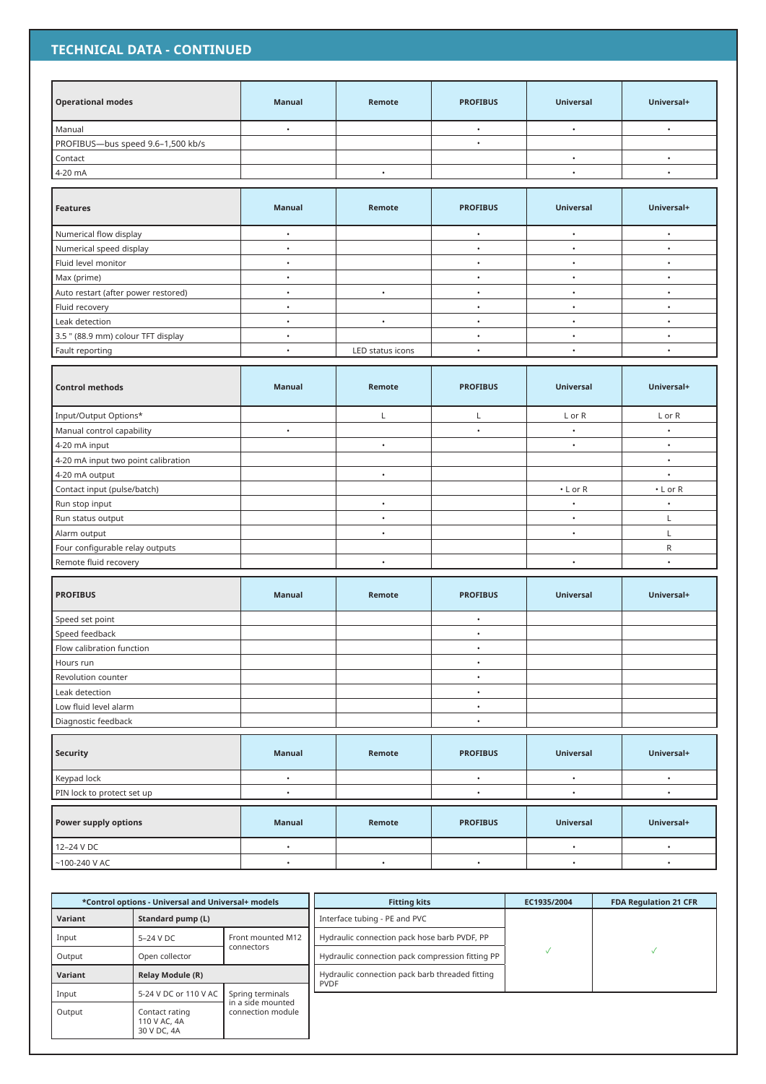#### **TECHNICAL DATA - CONTINUED**

| <b>Operational modes</b>            | <b>Manual</b> | Remote           | <b>PROFIBUS</b> | <b>Universal</b>     | Universal+     |
|-------------------------------------|---------------|------------------|-----------------|----------------------|----------------|
| Manual                              | $\bullet$     |                  | $\bullet$       | $\bullet$            | $\bullet$      |
| PROFIBUS-bus speed 9.6-1,500 kb/s   |               |                  | $\bullet$       |                      |                |
| Contact                             |               |                  |                 | $\bullet$            | $\bullet$      |
| 4-20 mA                             |               | $\bullet$        |                 | $\bullet$            | $\bullet$      |
|                                     |               |                  |                 |                      |                |
| <b>Features</b>                     | <b>Manual</b> | Remote           | <b>PROFIBUS</b> | <b>Universal</b>     | Universal+     |
| Numerical flow display              | $\bullet$     |                  | $\bullet$       | $\bullet$            | $\bullet$      |
| Numerical speed display             | $\bullet$     |                  | $\bullet$       | $\bullet$            | $\bullet$      |
| Fluid level monitor                 | $\bullet$     |                  | $\bullet$       | $\bullet$            | $\bullet$      |
| Max (prime)                         | $\bullet$     |                  | $\bullet$       | $\bullet$            | $\bullet$      |
| Auto restart (after power restored) | $\bullet$     | $\bullet$        | $\bullet$       | $\bullet$            | $\bullet$      |
| Fluid recovery                      | $\bullet$     |                  | $\bullet$       | $\bullet$            | $\bullet$      |
| Leak detection                      | $\bullet$     | $\bullet$        | $\bullet$       | $\bullet$            | $\bullet$      |
| 3.5 " (88.9 mm) colour TFT display  | $\bullet$     |                  | $\bullet$       | $\bullet$            | $\bullet$      |
| Fault reporting                     | $\bullet$     | LED status icons | $\bullet$       | $\ddot{\phantom{0}}$ | $\bullet$      |
|                                     |               |                  |                 |                      |                |
| <b>Control methods</b>              | <b>Manual</b> | Remote           | <b>PROFIBUS</b> | <b>Universal</b>     | Universal+     |
| Input/Output Options*               |               | L                | Г               | L or R               | L or R         |
| Manual control capability           | $\bullet$     |                  | $\bullet$       | $\bullet$            | $\bullet$      |
| 4-20 mA input                       |               | $\bullet$        |                 | $\bullet$            | $\bullet$      |
| 4-20 mA input two point calibration |               |                  |                 |                      | $\bullet$      |
| 4-20 mA output                      |               | $\bullet$        |                 |                      | $\bullet$      |
| Contact input (pulse/batch)         |               |                  |                 | $\cdot$ L or R       | $\cdot$ L or R |
| Run stop input                      |               | $\bullet$        |                 | $\bullet$            | $\bullet$      |
| Run status output                   |               | $\bullet$        |                 | $\bullet$            | L              |
| Alarm output                        |               | $\bullet$        |                 | $\bullet$            | L              |
| Four configurable relay outputs     |               |                  |                 |                      | R              |
| Remote fluid recovery               |               | $\bullet$        |                 | $\bullet$            | $\bullet$      |
| <b>PROFIBUS</b>                     | <b>Manual</b> | Remote           | <b>PROFIBUS</b> | <b>Universal</b>     | Universal+     |
| Speed set point                     |               |                  | $\bullet$       |                      |                |
| Speed feedback                      |               |                  | $\bullet$       |                      |                |
| Flow calibration function           |               |                  |                 |                      |                |
| Hours run                           |               |                  | $\bullet$       |                      |                |
| Revolution counter                  |               |                  | $\bullet$       |                      |                |
| Leak detection                      |               |                  | $\bullet$       |                      |                |
| Low fluid level alarm               |               |                  | $\bullet$       |                      |                |
| Diagnostic feedback                 |               |                  | $\bullet$       |                      |                |
|                                     |               |                  |                 |                      |                |
| Security                            | <b>Manual</b> | Remote           | <b>PROFIBUS</b> | <b>Universal</b>     | Universal+     |
| Keypad lock                         | $\bullet$     |                  | $\bullet$       | $\bullet$            | $\bullet$      |
| PIN lock to protect set up          | $\bullet$     |                  | $\bullet$       | $\bullet$            | $\bullet$      |
| <b>Power supply options</b>         | <b>Manual</b> | Remote           | <b>PROFIBUS</b> | Universal            | Universal+     |
| 12-24 V DC                          | $\bullet$     |                  |                 | $\bullet$            | $\bullet$      |
| $~100 - 240$ V AC                   | $\bullet$     | $\bullet$        | $\bullet$       | $\bullet$            | $\bullet$      |

| *Control options - Universal and Universal+ models |                                               | <b>Fitting kits</b>                    | EC1935/2004                                                    | <b>FDA Regulation 21 CFR</b> |  |  |
|----------------------------------------------------|-----------------------------------------------|----------------------------------------|----------------------------------------------------------------|------------------------------|--|--|
| Variant                                            | Standard pump (L)                             |                                        | Interface tubing - PE and PVC                                  |                              |  |  |
| Input                                              | $5-24$ V DC                                   | Front mounted M12                      | Hydraulic connection pack hose barb PVDF, PP                   |                              |  |  |
| Output                                             | Open collector                                | connectors                             | Hydraulic connection pack compression fitting PP               |                              |  |  |
| Variant                                            | <b>Relay Module (R)</b>                       |                                        | Hydraulic connection pack barb threaded fitting<br><b>PVDF</b> |                              |  |  |
| Input                                              | 5-24 V DC or 110 V AC                         | Spring terminals                       |                                                                |                              |  |  |
| Output                                             | Contact rating<br>110 V AC, 4A<br>30 V DC, 4A | in a side mounted<br>connection module |                                                                |                              |  |  |